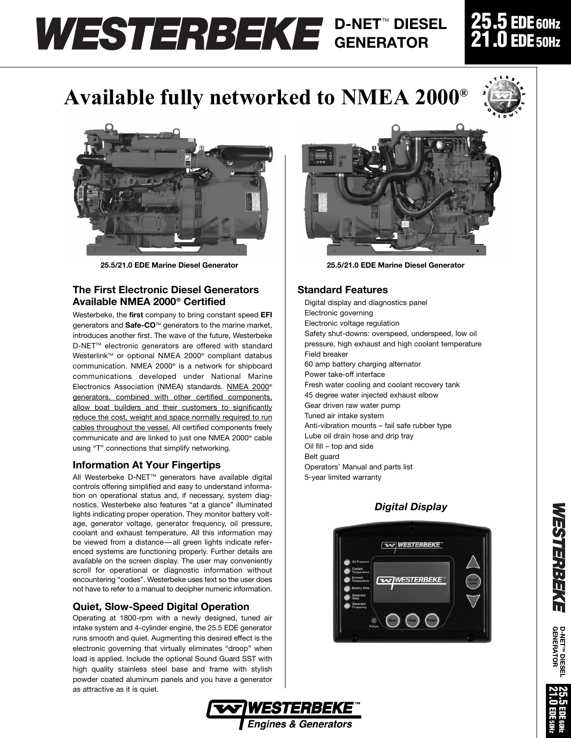# **D-NET™ DIESEL GENERATOR**

# **Available fully networked to NMEA 2000®**



**25.5/21.0 EDE Marine Diesel Generator 25.5/21.0 EDE Marine Diesel Generator**

### **The First Electronic Diesel Generators Available NMEA 2000® Certified**

Westerbeke, the **first** company to bring constant speed **EFI** generators and **Safe-CO**TM generators to the marine market, introduces another first. The wave of the future, Westerbeke D-NET™ electronic generators are offered with standard Westerlink™ or optional NMEA 2000® compliant databus communication. NMEA 2000® is a network for shipboard communications developed under National Marine Electronics Association (NMEA) standards. NMEA 2000® generators, combined with other certified components, allow boat builders and their customers to significantly reduce the cost, weight and space normally required to run cables throughout the vessel. All certified components freely communicate and are linked to just one NMEA 2000® cable using "T" connections that simplify networking.

#### **Information At Your Fingertips**

All Westerbeke D-NET™ generators have available digital controls offering simplified and easy to understand information on operational status and, if necessary, system diagnostics. Westerbeke also features "at a glance" illuminated lights indicating proper operation. They monitor battery voltage, generator voltage, generator frequency, oil pressure, coolant and exhaust temperature. All this information may be viewed from a distance—all green lights indicate referenced systems are functioning properly. Further details are available on the screen display. The user may conveniently scroll for operational or diagnostic information without encountering "codes". Westerbeke uses text so the user does not have to refer to a manual to decipher numeric information.

## **Quiet, Slow-Speed Digital Operation**

Operating at 1800-rpm with a newly designed, tuned air intake system and 4-cylinder engine, the 25.5 EDE generator runs smooth and quiet. Augmenting this desired effect is the electronic governing that virtually eliminates "droop" when load is applied. Include the optional Sound Guard SST with high quality stainless steel base and frame with stylish powder coated aluminum panels and you have a generator as attractive as it is quiet.



### **Standard Features**

Digital display and diagnostics panel Electronic governing Electronic voltage regulation Safety shut-downs: overspeed, underspeed, low oil pressure, high exhaust and high coolant temperature Field breaker 60 amp battery charging alternator Power take-off interface Fresh water cooling and coolant recovery tank 45 degree water injected exhaust elbow Gear driven raw water pump Tuned air intake system Anti-vibration mounts – fail safe rubber type Lube oil drain hose and drip tray Oil fill – top and side Belt guard Operators' Manual and parts list 5-year limited warranty

## *Digital Display*







# **25.5 EDE60Hz 21.0 EDE50Hz**

**W**